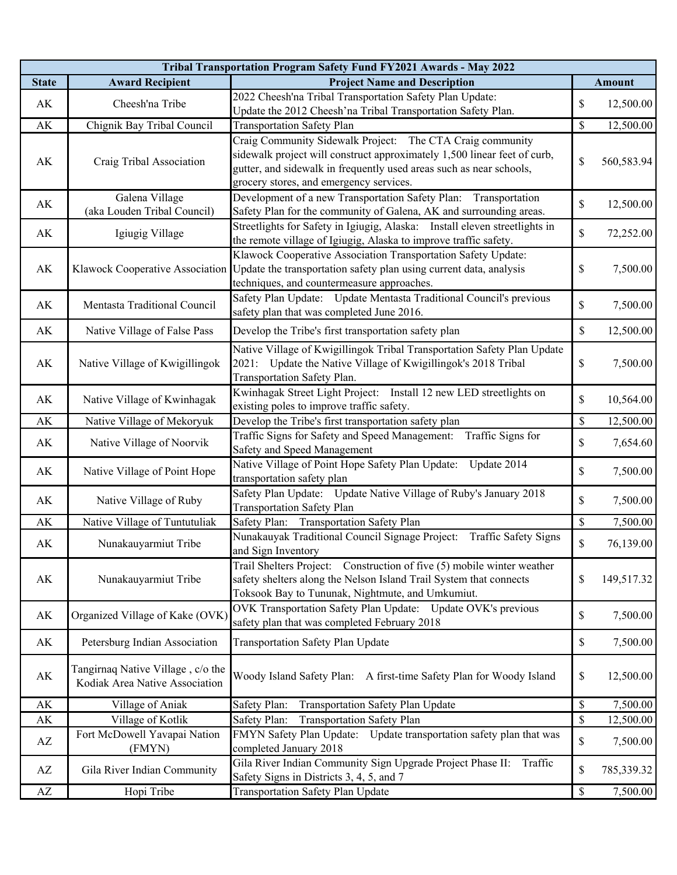| Tribal Transportation Program Safety Fund FY2021 Awards - May 2022 |                                   |                                                                                |             |               |  |  |
|--------------------------------------------------------------------|-----------------------------------|--------------------------------------------------------------------------------|-------------|---------------|--|--|
| <b>State</b>                                                       | <b>Award Recipient</b>            | <b>Project Name and Description</b>                                            |             | <b>Amount</b> |  |  |
| AK                                                                 |                                   | 2022 Cheesh'na Tribal Transportation Safety Plan Update:                       | \$          |               |  |  |
|                                                                    | Cheesh'na Tribe                   | Update the 2012 Cheesh'na Tribal Transportation Safety Plan.                   |             | 12,500.00     |  |  |
| $\mathbf{A}\mathbf{K}$                                             | Chignik Bay Tribal Council        | <b>Transportation Safety Plan</b>                                              | \$          | 12,500.00     |  |  |
|                                                                    |                                   | Craig Community Sidewalk Project: The CTA Craig community                      |             |               |  |  |
| AK                                                                 | Craig Tribal Association          | sidewalk project will construct approximately 1,500 linear feet of curb,       | \$          | 560,583.94    |  |  |
|                                                                    |                                   | gutter, and sidewalk in frequently used areas such as near schools,            |             |               |  |  |
|                                                                    |                                   | grocery stores, and emergency services.                                        |             |               |  |  |
| AK                                                                 | Galena Village                    | Development of a new Transportation Safety Plan: Transportation                | \$          | 12,500.00     |  |  |
|                                                                    | (aka Louden Tribal Council)       | Safety Plan for the community of Galena, AK and surrounding areas.             |             |               |  |  |
| AK                                                                 | Igiugig Village                   | Streetlights for Safety in Igiugig, Alaska: Install eleven streetlights in     | \$          | 72,252.00     |  |  |
|                                                                    |                                   | the remote village of Igiugig, Alaska to improve traffic safety.               |             |               |  |  |
|                                                                    | Klawock Cooperative Association   | Klawock Cooperative Association Transportation Safety Update:                  |             |               |  |  |
| AK                                                                 |                                   | Update the transportation safety plan using current data, analysis             | \$          | 7,500.00      |  |  |
|                                                                    |                                   | techniques, and countermeasure approaches.                                     |             |               |  |  |
| AK                                                                 | Mentasta Traditional Council      | Safety Plan Update: Update Mentasta Traditional Council's previous             | \$          | 7,500.00      |  |  |
|                                                                    |                                   | safety plan that was completed June 2016.                                      |             |               |  |  |
| AK                                                                 | Native Village of False Pass      | Develop the Tribe's first transportation safety plan                           | \$          | 12,500.00     |  |  |
|                                                                    |                                   | Native Village of Kwigillingok Tribal Transportation Safety Plan Update        |             |               |  |  |
| AK                                                                 | Native Village of Kwigillingok    | Update the Native Village of Kwigillingok's 2018 Tribal<br>2021:               | \$          | 7,500.00      |  |  |
|                                                                    |                                   | Transportation Safety Plan.                                                    |             |               |  |  |
|                                                                    |                                   | Kwinhagak Street Light Project: Install 12 new LED streetlights on             |             |               |  |  |
| AK                                                                 | Native Village of Kwinhagak       | existing poles to improve traffic safety.                                      | \$          | 10,564.00     |  |  |
| AK                                                                 | Native Village of Mekoryuk        | Develop the Tribe's first transportation safety plan                           | \$          | 12,500.00     |  |  |
|                                                                    |                                   | Traffic Signs for Safety and Speed Management: Traffic Signs for               |             |               |  |  |
| AK                                                                 | Native Village of Noorvik         | Safety and Speed Management                                                    | \$          | 7,654.60      |  |  |
|                                                                    |                                   | Native Village of Point Hope Safety Plan Update:<br>Update 2014                |             |               |  |  |
| AK                                                                 | Native Village of Point Hope      | transportation safety plan                                                     | \$          | 7,500.00      |  |  |
|                                                                    |                                   | Safety Plan Update: Update Native Village of Ruby's January 2018               |             |               |  |  |
| AK                                                                 | Native Village of Ruby            | <b>Transportation Safety Plan</b>                                              | \$          | 7,500.00      |  |  |
| AK                                                                 | Native Village of Tuntutuliak     | Safety Plan: Transportation Safety Plan                                        | $\$$        | 7,500.00      |  |  |
|                                                                    |                                   | Nunakauyak Traditional Council Signage Project:<br><b>Traffic Safety Signs</b> |             |               |  |  |
| AK                                                                 | Nunakauyarmiut Tribe              | and Sign Inventory                                                             | \$          | 76,139.00     |  |  |
|                                                                    |                                   | Trail Shelters Project: Construction of five (5) mobile winter weather         |             |               |  |  |
| AK                                                                 | Nunakauyarmiut Tribe              | safety shelters along the Nelson Island Trail System that connects             | \$          | 149,517.32    |  |  |
|                                                                    |                                   | Toksook Bay to Tununak, Nightmute, and Umkumiut.                               |             |               |  |  |
| AK                                                                 | Organized Village of Kake (OVK)   | OVK Transportation Safety Plan Update: Update OVK's previous                   | \$          | 7,500.00      |  |  |
|                                                                    |                                   | safety plan that was completed February 2018                                   |             |               |  |  |
| $\mathbf{A}\mathbf{K}$                                             | Petersburg Indian Association     | Transportation Safety Plan Update                                              | \$          | 7,500.00      |  |  |
|                                                                    |                                   |                                                                                |             |               |  |  |
|                                                                    | Tangirnaq Native Village, c/o the |                                                                                |             |               |  |  |
| AK                                                                 | Kodiak Area Native Association    | Woody Island Safety Plan: A first-time Safety Plan for Woody Island            | \$          | 12,500.00     |  |  |
|                                                                    |                                   |                                                                                |             |               |  |  |
| AK                                                                 | Village of Aniak                  | Safety Plan:<br>Transportation Safety Plan Update                              | $\mathbb S$ | 7,500.00      |  |  |
| AK<br>AZ                                                           | Village of Kotlik                 | Safety Plan:<br><b>Transportation Safety Plan</b>                              | $\$$        | 12,500.00     |  |  |
|                                                                    | Fort McDowell Yavapai Nation      | FMYN Safety Plan Update: Update transportation safety plan that was            | \$          | 7,500.00      |  |  |
|                                                                    | (FMYN)                            | completed January 2018                                                         |             |               |  |  |
| AZ                                                                 | Gila River Indian Community       | Gila River Indian Community Sign Upgrade Project Phase II:<br>Traffic          | \$          | 785,339.32    |  |  |
|                                                                    |                                   | Safety Signs in Districts 3, 4, 5, and 7                                       |             |               |  |  |
| $\mathbf{A}\mathbf{Z}$                                             | Hopi Tribe                        | Transportation Safety Plan Update                                              | $\mathbb S$ | 7,500.00      |  |  |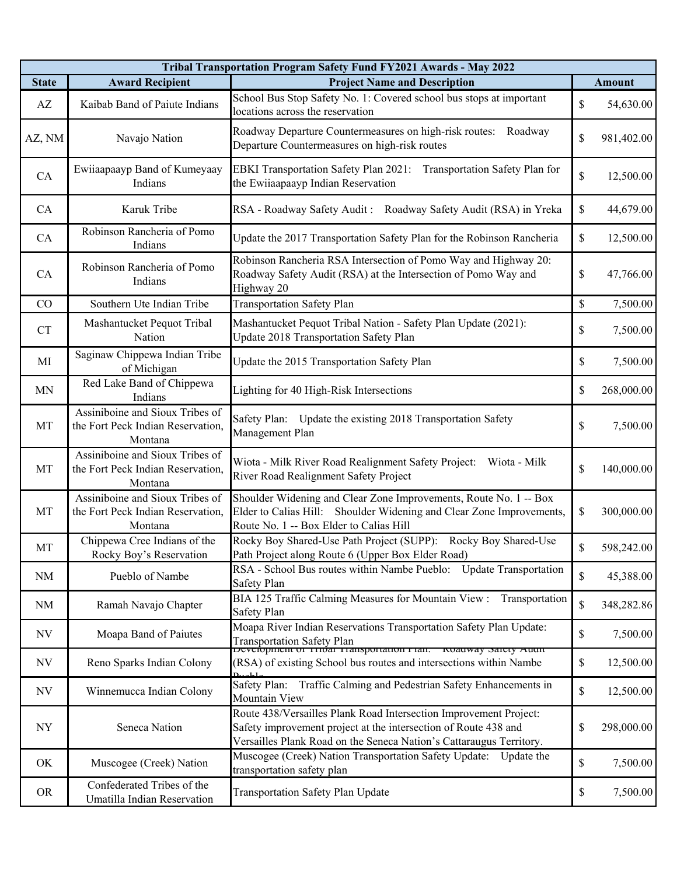| Tribal Transportation Program Safety Fund FY2021 Awards - May 2022 |                                                                                 |                                                                                                                                                                                                             |              |               |  |  |
|--------------------------------------------------------------------|---------------------------------------------------------------------------------|-------------------------------------------------------------------------------------------------------------------------------------------------------------------------------------------------------------|--------------|---------------|--|--|
| <b>State</b>                                                       | <b>Award Recipient</b>                                                          | <b>Project Name and Description</b>                                                                                                                                                                         |              | <b>Amount</b> |  |  |
| AZ                                                                 | Kaibab Band of Paiute Indians                                                   | School Bus Stop Safety No. 1: Covered school bus stops at important<br>locations across the reservation                                                                                                     | \$           | 54,630.00     |  |  |
| AZ, NM                                                             | Navajo Nation                                                                   | Roadway Departure Countermeasures on high-risk routes: Roadway<br>Departure Countermeasures on high-risk routes                                                                                             | \$           | 981,402.00    |  |  |
| CA                                                                 | Ewiiaapaayp Band of Kumeyaay<br>Indians                                         | EBKI Transportation Safety Plan 2021: Transportation Safety Plan for<br>the Ewiiaapaayp Indian Reservation                                                                                                  | \$           | 12,500.00     |  |  |
| CA                                                                 | Karuk Tribe                                                                     | RSA - Roadway Safety Audit: Roadway Safety Audit (RSA) in Yreka                                                                                                                                             | \$           | 44,679.00     |  |  |
| CA                                                                 | Robinson Rancheria of Pomo<br>Indians                                           | Update the 2017 Transportation Safety Plan for the Robinson Rancheria                                                                                                                                       | \$           | 12,500.00     |  |  |
| CA                                                                 | Robinson Rancheria of Pomo<br>Indians                                           | Robinson Rancheria RSA Intersection of Pomo Way and Highway 20:<br>Roadway Safety Audit (RSA) at the Intersection of Pomo Way and<br>Highway 20                                                             | \$           | 47,766.00     |  |  |
| CO                                                                 | Southern Ute Indian Tribe                                                       | <b>Transportation Safety Plan</b>                                                                                                                                                                           | \$           | 7,500.00      |  |  |
| <b>CT</b>                                                          | Mashantucket Pequot Tribal<br>Nation                                            | Mashantucket Pequot Tribal Nation - Safety Plan Update (2021):<br>Update 2018 Transportation Safety Plan                                                                                                    | \$           | 7,500.00      |  |  |
| MI                                                                 | Saginaw Chippewa Indian Tribe<br>of Michigan                                    | Update the 2015 Transportation Safety Plan                                                                                                                                                                  | \$           | 7,500.00      |  |  |
| <b>MN</b>                                                          | Red Lake Band of Chippewa<br>Indians                                            | Lighting for 40 High-Risk Intersections                                                                                                                                                                     | \$           | 268,000.00    |  |  |
| MT                                                                 | Assiniboine and Sioux Tribes of<br>the Fort Peck Indian Reservation,<br>Montana | Safety Plan: Update the existing 2018 Transportation Safety<br>Management Plan                                                                                                                              | \$           | 7,500.00      |  |  |
| MT                                                                 | Assiniboine and Sioux Tribes of<br>the Fort Peck Indian Reservation,<br>Montana | Wiota - Milk River Road Realignment Safety Project: Wiota - Milk<br>River Road Realignment Safety Project                                                                                                   | \$           | 140,000.00    |  |  |
| MT                                                                 | Assiniboine and Sioux Tribes of<br>the Fort Peck Indian Reservation,<br>Montana | Shoulder Widening and Clear Zone Improvements, Route No. 1 -- Box<br>Elder to Calias Hill: Shoulder Widening and Clear Zone Improvements,<br>Route No. 1 -- Box Elder to Calias Hill                        | \$           | 300,000.00    |  |  |
| MT                                                                 | Chippewa Cree Indians of the<br>Rocky Boy's Reservation                         | Rocky Boy Shared-Use Path Project (SUPP): Rocky Boy Shared-Use<br>Path Project along Route 6 (Upper Box Elder Road)                                                                                         | \$           | 598,242.00    |  |  |
| <b>NM</b>                                                          | Pueblo of Nambe                                                                 | RSA - School Bus routes within Nambe Pueblo: Update Transportation<br>Safety Plan                                                                                                                           | $\mathbb{S}$ | 45,388.00     |  |  |
| NM                                                                 | Ramah Navajo Chapter                                                            | BIA 125 Traffic Calming Measures for Mountain View :<br>Transportation<br>Safety Plan                                                                                                                       | \$           | 348,282.86    |  |  |
| NV                                                                 | Moapa Band of Paiutes                                                           | Moapa River Indian Reservations Transportation Safety Plan Update:<br>Transportation Safety Plan<br>Development of Tribar Fransportation Plan: Koadway Safety Audit                                         | \$           | 7,500.00      |  |  |
| NV                                                                 | Reno Sparks Indian Colony                                                       | (RSA) of existing School bus routes and intersections within Nambe                                                                                                                                          | \$           | 12,500.00     |  |  |
| NV                                                                 | Winnemucca Indian Colony                                                        | Safety Plan:<br>Traffic Calming and Pedestrian Safety Enhancements in<br>Mountain View                                                                                                                      | \$           | 12,500.00     |  |  |
| <b>NY</b>                                                          | Seneca Nation                                                                   | Route 438/Versailles Plank Road Intersection Improvement Project:<br>Safety improvement project at the intersection of Route 438 and<br>Versailles Plank Road on the Seneca Nation's Cattaraugus Territory. | \$           | 298,000.00    |  |  |
| OK                                                                 | Muscogee (Creek) Nation                                                         | Muscogee (Creek) Nation Transportation Safety Update: Update the<br>transportation safety plan                                                                                                              | \$           | 7,500.00      |  |  |
| <b>OR</b>                                                          | Confederated Tribes of the<br>Umatilla Indian Reservation                       | Transportation Safety Plan Update                                                                                                                                                                           | \$           | 7,500.00      |  |  |